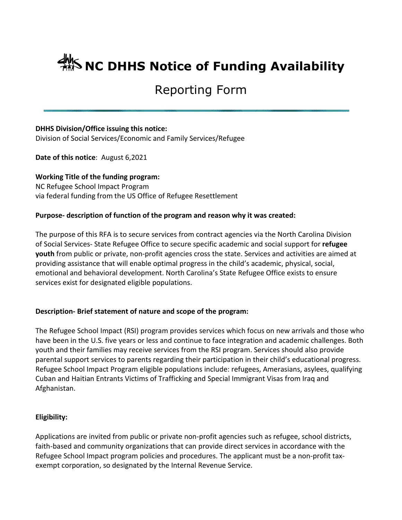# **ANS NC DHHS Notice of Funding Availability**

# Reporting Form

# **DHHS Division/Office issuing this notice:**

Division of Social Services/Economic and Family Services/Refugee

**Date of this notice**: August 6,2021

**Working Title of the funding program:** NC Refugee School Impact Program via federal funding from the US Office of Refugee Resettlement

# **Purpose- description of function of the program and reason why it was created:**

The purpose of this RFA is to secure services from contract agencies via the North Carolina Division of Social Services- State Refugee Office to secure specific academic and social support for **refugee youth** from public or private, non-profit agencies cross the state. Services and activities are aimed at providing assistance that will enable optimal progress in the child's academic, physical, social, emotional and behavioral development. North Carolina's State Refugee Office exists to ensure services exist for designated eligible populations.

# **Description- Brief statement of nature and scope of the program:**

The Refugee School Impact (RSI) program provides services which focus on new arrivals and those who have been in the U.S. five years or less and continue to face integration and academic challenges. Both youth and their families may receive services from the RSI program. Services should also provide parental support services to parents regarding their participation in their child's educational progress. Refugee School Impact Program eligible populations include: refugees, Amerasians, asylees, qualifying Cuban and Haitian Entrants Victims of Trafficking and Special Immigrant Visas from Iraq and Afghanistan.

#### **Eligibility:**

Applications are invited from public or private non-profit agencies such as refugee, school districts, faith-based and community organizations that can provide direct services in accordance with the Refugee School Impact program policies and procedures. The applicant must be a non-profit taxexempt corporation, so designated by the Internal Revenue Service.